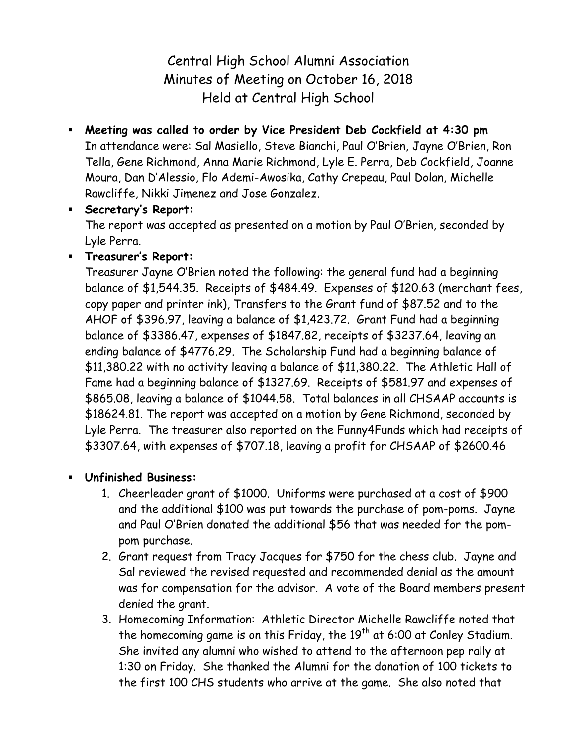Central High School Alumni Association Minutes of Meeting on October 16, 2018 Held at Central High School

 **Meeting was called to order by Vice President Deb Cockfield at 4:30 pm** In attendance were: Sal Masiello, Steve Bianchi, Paul O'Brien, Jayne O'Brien, Ron Tella, Gene Richmond, Anna Marie Richmond, Lyle E. Perra, Deb Cockfield, Joanne Moura, Dan D'Alessio, Flo Ademi-Awosika, Cathy Crepeau, Paul Dolan, Michelle Rawcliffe, Nikki Jimenez and Jose Gonzalez.

## **Secretary's Report:**

The report was accepted as presented on a motion by Paul O'Brien, seconded by Lyle Perra.

**Treasurer's Report:**

Treasurer Jayne O'Brien noted the following: the general fund had a beginning balance of \$1,544.35. Receipts of \$484.49. Expenses of \$120.63 (merchant fees, copy paper and printer ink), Transfers to the Grant fund of \$87.52 and to the AHOF of \$396.97, leaving a balance of \$1,423.72. Grant Fund had a beginning balance of \$3386.47, expenses of \$1847.82, receipts of \$3237.64, leaving an ending balance of \$4776.29. The Scholarship Fund had a beginning balance of \$11,380.22 with no activity leaving a balance of \$11,380.22. The Athletic Hall of Fame had a beginning balance of \$1327.69. Receipts of \$581.97 and expenses of \$865.08, leaving a balance of \$1044.58. Total balances in all CHSAAP accounts is \$18624.81. The report was accepted on a motion by Gene Richmond, seconded by Lyle Perra. The treasurer also reported on the Funny4Funds which had receipts of \$3307.64, with expenses of \$707.18, leaving a profit for CHSAAP of \$2600.46

## **Unfinished Business:**

- 1. Cheerleader grant of \$1000. Uniforms were purchased at a cost of \$900 and the additional \$100 was put towards the purchase of pom-poms. Jayne and Paul O'Brien donated the additional \$56 that was needed for the pompom purchase.
- 2. Grant request from Tracy Jacques for \$750 for the chess club. Jayne and Sal reviewed the revised requested and recommended denial as the amount was for compensation for the advisor. A vote of the Board members present denied the grant.
- 3. Homecoming Information: Athletic Director Michelle Rawcliffe noted that the homecoming game is on this Friday, the  $19<sup>th</sup>$  at 6:00 at Conley Stadium. She invited any alumni who wished to attend to the afternoon pep rally at 1:30 on Friday. She thanked the Alumni for the donation of 100 tickets to the first 100 CHS students who arrive at the game. She also noted that